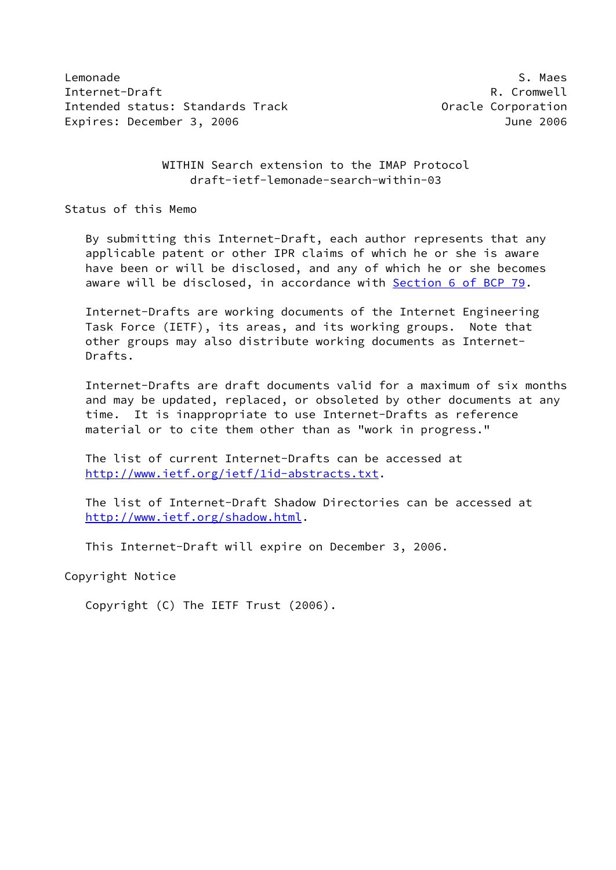Lemonade S. Maes Internet-Draft **R. Cromwell** Intended status: Standards Track Corporation Expires: December 3, 2006 **June 2006** 

 WITHIN Search extension to the IMAP Protocol draft-ietf-lemonade-search-within-03

Status of this Memo

 By submitting this Internet-Draft, each author represents that any applicable patent or other IPR claims of which he or she is aware have been or will be disclosed, and any of which he or she becomes aware will be disclosed, in accordance with Section [6 of BCP 79.](https://datatracker.ietf.org/doc/pdf/bcp79#section-6)

 Internet-Drafts are working documents of the Internet Engineering Task Force (IETF), its areas, and its working groups. Note that other groups may also distribute working documents as Internet- Drafts.

 Internet-Drafts are draft documents valid for a maximum of six months and may be updated, replaced, or obsoleted by other documents at any time. It is inappropriate to use Internet-Drafts as reference material or to cite them other than as "work in progress."

 The list of current Internet-Drafts can be accessed at <http://www.ietf.org/ietf/1id-abstracts.txt>.

 The list of Internet-Draft Shadow Directories can be accessed at <http://www.ietf.org/shadow.html>.

This Internet-Draft will expire on December 3, 2006.

Copyright Notice

Copyright (C) The IETF Trust (2006).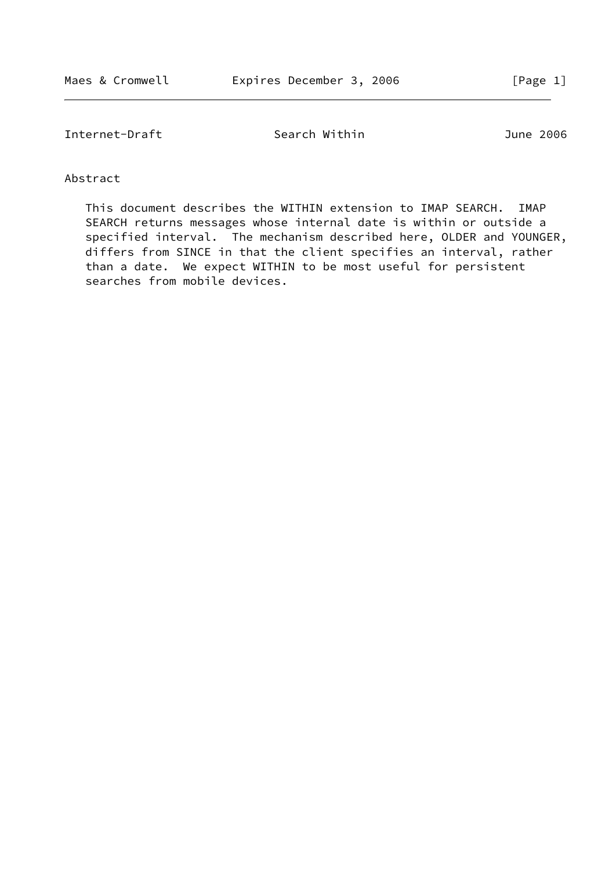Internet-Draft Search Within 3006

Abstract

 This document describes the WITHIN extension to IMAP SEARCH. IMAP SEARCH returns messages whose internal date is within or outside a specified interval. The mechanism described here, OLDER and YOUNGER, differs from SINCE in that the client specifies an interval, rather than a date. We expect WITHIN to be most useful for persistent searches from mobile devices.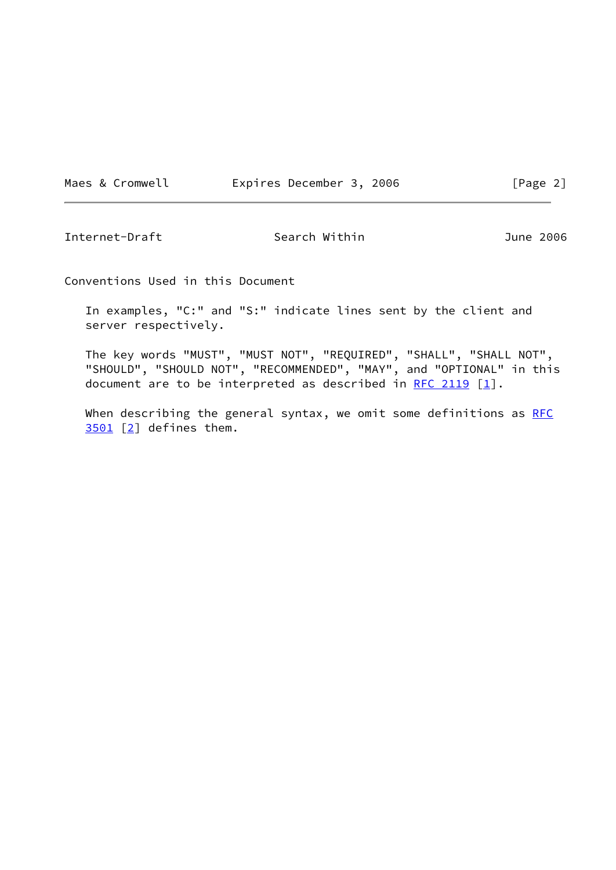Maes & Cromwell **Expires December 3, 2006** [Page 2]

Internet-Draft Search Within 3006

Conventions Used in this Document

 In examples, "C:" and "S:" indicate lines sent by the client and server respectively.

 The key words "MUST", "MUST NOT", "REQUIRED", "SHALL", "SHALL NOT", "SHOULD", "SHOULD NOT", "RECOMMENDED", "MAY", and "OPTIONAL" in this document are to be interpreted as described in RFC  $2119$  [\[1](#page-9-0)].

When describing the general syntax, we omit some definitions as [RFC](https://datatracker.ietf.org/doc/pdf/rfc3501) [3501](https://datatracker.ietf.org/doc/pdf/rfc3501) [\[2\]](#page-9-1) defines them.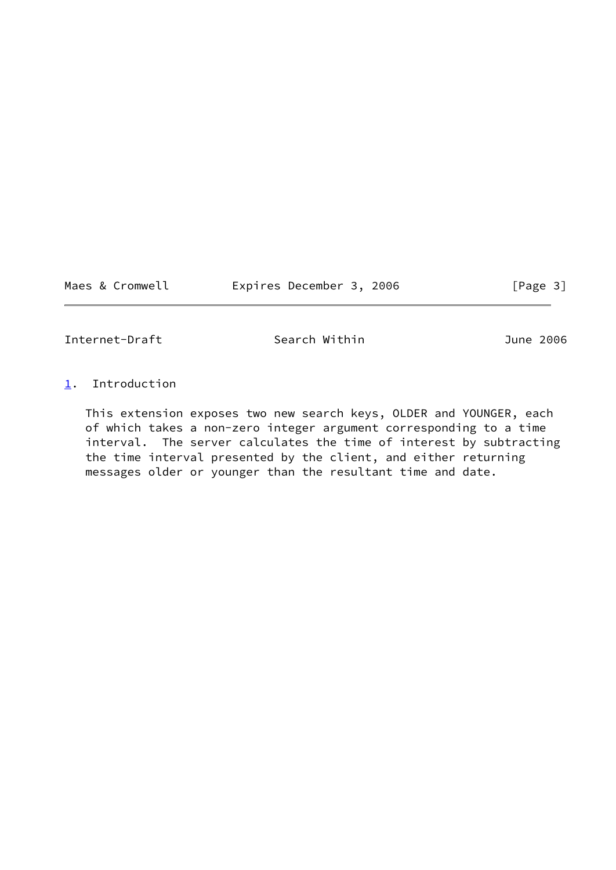Maes & Cromwell **Expires December 3, 2006** [Page 3]

Internet-Draft Search Within 3006

## <span id="page-3-0"></span>[1](#page-3-0). Introduction

 This extension exposes two new search keys, OLDER and YOUNGER, each of which takes a non-zero integer argument corresponding to a time interval. The server calculates the time of interest by subtracting the time interval presented by the client, and either returning messages older or younger than the resultant time and date.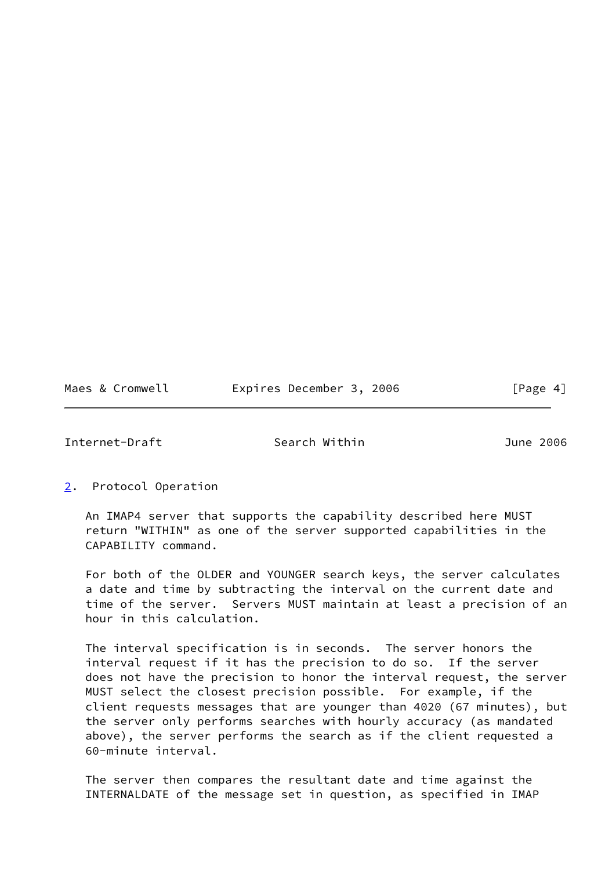|  | Maes & Cromwell |  | Expires December 3, 2006 |  | [Page 4] |
|--|-----------------|--|--------------------------|--|----------|
|--|-----------------|--|--------------------------|--|----------|

Internet-Draft Search Within June 2006

<span id="page-4-0"></span>[2](#page-4-0). Protocol Operation

 An IMAP4 server that supports the capability described here MUST return "WITHIN" as one of the server supported capabilities in the CAPABILITY command.

 For both of the OLDER and YOUNGER search keys, the server calculates a date and time by subtracting the interval on the current date and time of the server. Servers MUST maintain at least a precision of an hour in this calculation.

 The interval specification is in seconds. The server honors the interval request if it has the precision to do so. If the server does not have the precision to honor the interval request, the server MUST select the closest precision possible. For example, if the client requests messages that are younger than 4020 (67 minutes), but the server only performs searches with hourly accuracy (as mandated above), the server performs the search as if the client requested a 60-minute interval.

 The server then compares the resultant date and time against the INTERNALDATE of the message set in question, as specified in IMAP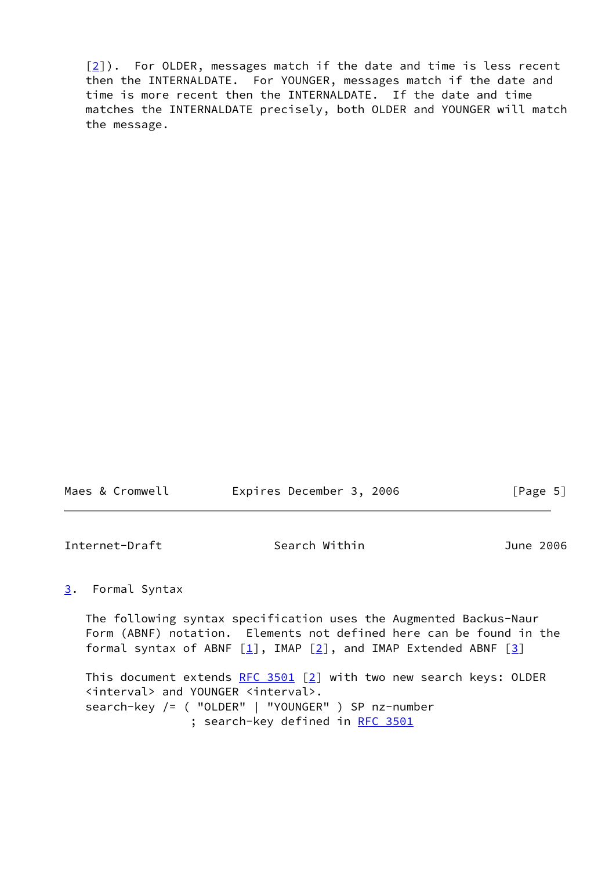$[2]$  $[2]$ ). For OLDER, messages match if the date and time is less recent then the INTERNALDATE. For YOUNGER, messages match if the date and time is more recent then the INTERNALDATE. If the date and time matches the INTERNALDATE precisely, both OLDER and YOUNGER will match the message.

| Maes & Cromwell | Expires December 3, 2006 |  | [Page 5] |  |
|-----------------|--------------------------|--|----------|--|
|                 |                          |  |          |  |

Internet-Draft Search Within 3006

## <span id="page-5-0"></span>[3](#page-5-0). Formal Syntax

 The following syntax specification uses the Augmented Backus-Naur Form (ABNF) notation. Elements not defined here can be found in the formal syntax of ABNF  $[1]$  $[1]$ , IMAP  $[2]$  $[2]$ , and IMAP Extended ABNF  $[3]$  $[3]$ 

This document extends RFC  $3501$  [\[2](#page-9-1)] with two new search keys: OLDER <interval> and YOUNGER <interval>. search-key /= ( "OLDER" | "YOUNGER" ) SP nz-number ; search-key defined in [RFC 3501](https://datatracker.ietf.org/doc/pdf/rfc3501)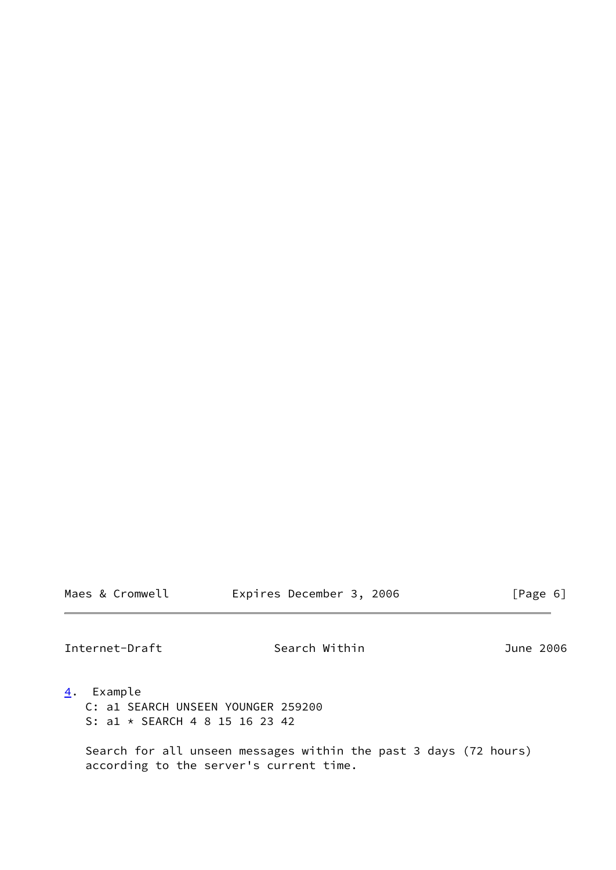Expires December 3, 2006 [Page 6]

Internet-Draft Search Within 3006

- <span id="page-6-0"></span>[4](#page-6-0). Example
	- C: a1 SEARCH UNSEEN YOUNGER 259200 S: a1 \* SEARCH 4 8 15 16 23 42

 Search for all unseen messages within the past 3 days (72 hours) according to the server's current time.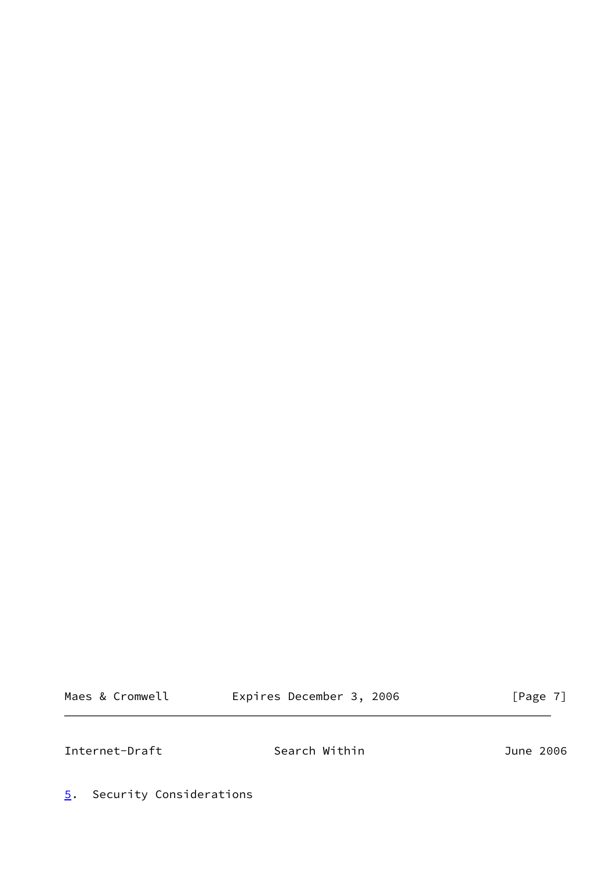Maes & Cromwell **Expires December 3, 2006** [Page 7]

Internet-Draft Search Within 3006

<span id="page-7-0"></span>[5](#page-7-0). Security Considerations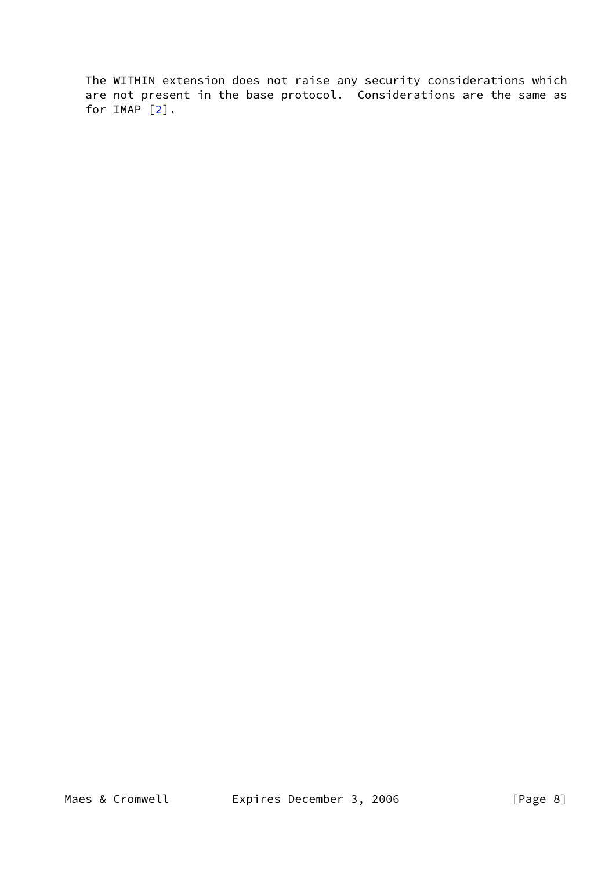The WITHIN extension does not raise any security considerations which are not present in the base protocol. Considerations are the same as for IMAP  $[2]$ .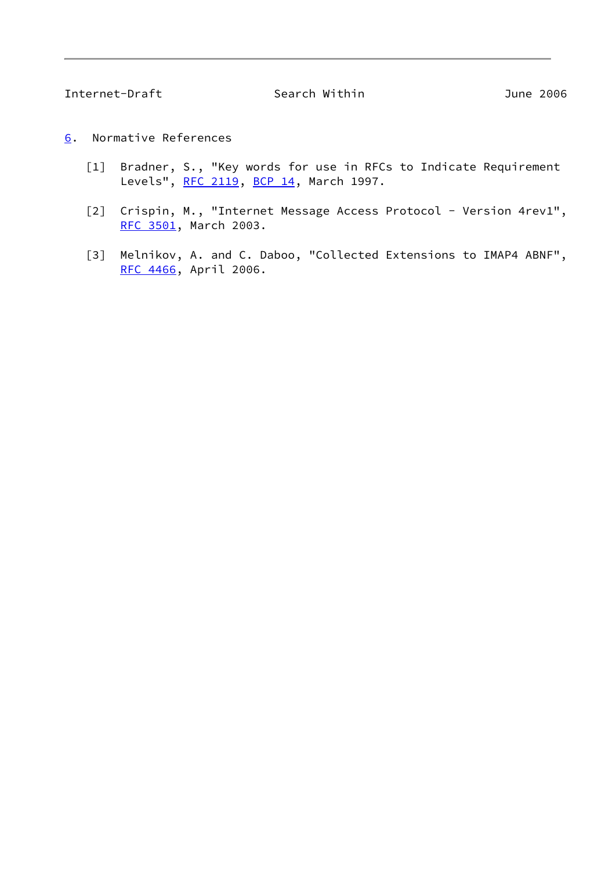- <span id="page-9-3"></span><span id="page-9-2"></span><span id="page-9-1"></span><span id="page-9-0"></span>[6](#page-9-3). Normative References
	- [1] Bradner, S., "Key words for use in RFCs to Indicate Requirement Levels", [RFC 2119](https://datatracker.ietf.org/doc/pdf/rfc2119), [BCP 14](https://datatracker.ietf.org/doc/pdf/bcp14), March 1997.
	- [2] Crispin, M., "Internet Message Access Protocol Version 4rev1", [RFC 3501](https://datatracker.ietf.org/doc/pdf/rfc3501), March 2003.
	- [3] Melnikov, A. and C. Daboo, "Collected Extensions to IMAP4 ABNF", [RFC 4466](https://datatracker.ietf.org/doc/pdf/rfc4466), April 2006.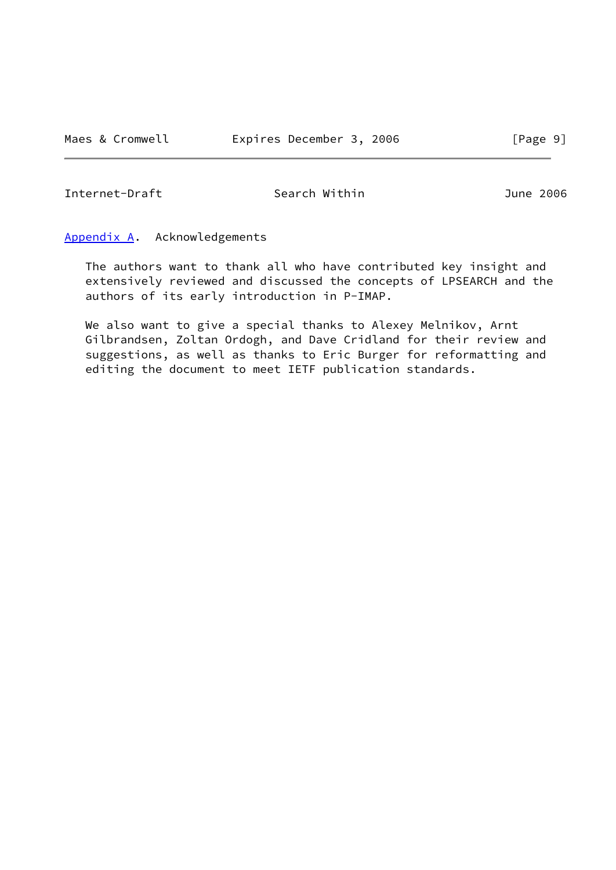Internet-Draft Search Within June 2006

<span id="page-10-0"></span>[Appendix A.](#page-10-0) Acknowledgements

 The authors want to thank all who have contributed key insight and extensively reviewed and discussed the concepts of LPSEARCH and the authors of its early introduction in P-IMAP.

 We also want to give a special thanks to Alexey Melnikov, Arnt Gilbrandsen, Zoltan Ordogh, and Dave Cridland for their review and suggestions, as well as thanks to Eric Burger for reformatting and editing the document to meet IETF publication standards.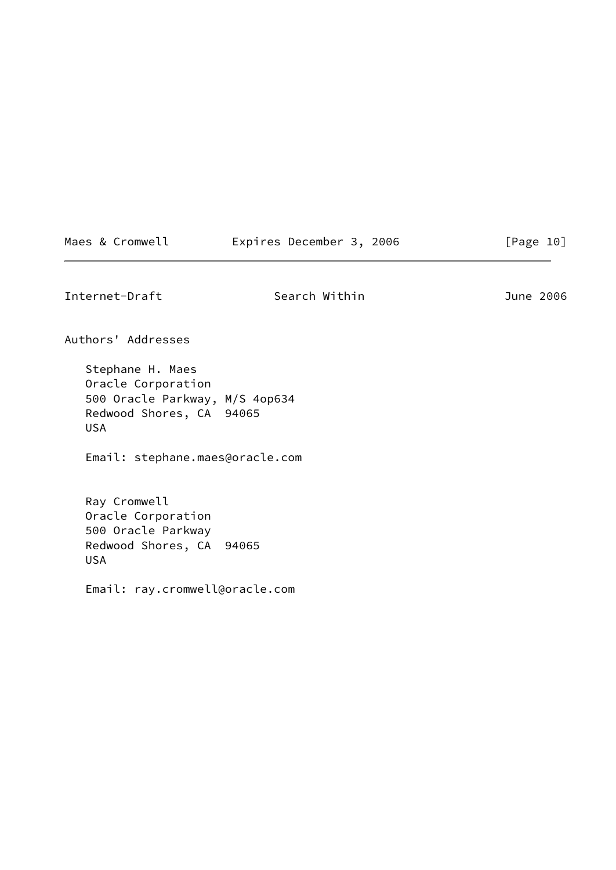|  |  | Maes & Cromwell |  | Expires December 3, 2006 |  |  | [Page 10] |  |
|--|--|-----------------|--|--------------------------|--|--|-----------|--|
|--|--|-----------------|--|--------------------------|--|--|-----------|--|

Internet-Draft Search Within 3006

Authors' Addresses

 Stephane H. Maes Oracle Corporation 500 Oracle Parkway, M/S 4op634 Redwood Shores, CA 94065 USA

Email: stephane.maes@oracle.com

 Ray Cromwell Oracle Corporation 500 Oracle Parkway Redwood Shores, CA 94065 USA

Email: ray.cromwell@oracle.com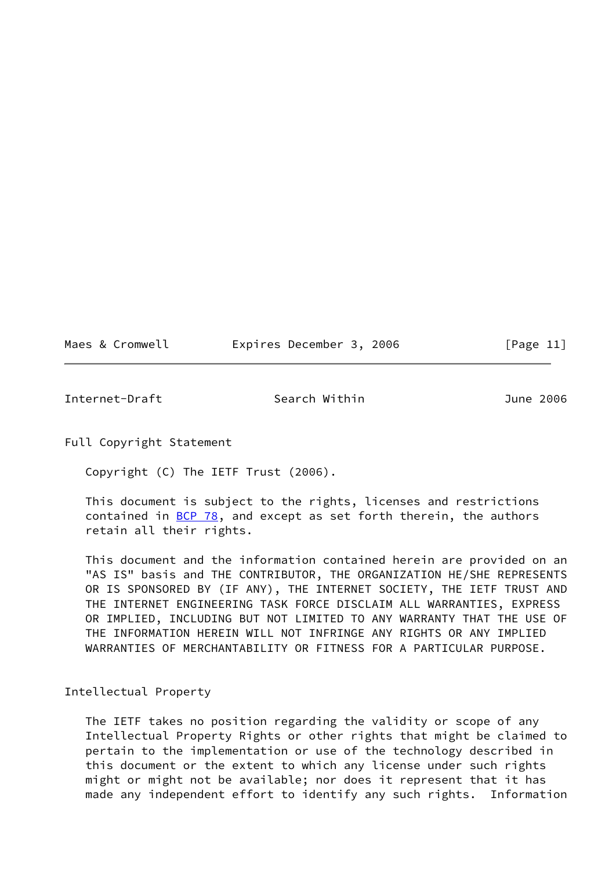|  | Maes & Cromwell |  | Expires December 3, 2006 |  |  | [Page $11$ ] |
|--|-----------------|--|--------------------------|--|--|--------------|
|--|-----------------|--|--------------------------|--|--|--------------|

Internet-Draft Search Within June 2006

Full Copyright Statement

Copyright (C) The IETF Trust (2006).

 This document is subject to the rights, licenses and restrictions contained in  $\underline{BCP}$  78, and except as set forth therein, the authors retain all their rights.

 This document and the information contained herein are provided on an "AS IS" basis and THE CONTRIBUTOR, THE ORGANIZATION HE/SHE REPRESENTS OR IS SPONSORED BY (IF ANY), THE INTERNET SOCIETY, THE IETF TRUST AND THE INTERNET ENGINEERING TASK FORCE DISCLAIM ALL WARRANTIES, EXPRESS OR IMPLIED, INCLUDING BUT NOT LIMITED TO ANY WARRANTY THAT THE USE OF THE INFORMATION HEREIN WILL NOT INFRINGE ANY RIGHTS OR ANY IMPLIED WARRANTIES OF MERCHANTABILITY OR FITNESS FOR A PARTICULAR PURPOSE.

Intellectual Property

 The IETF takes no position regarding the validity or scope of any Intellectual Property Rights or other rights that might be claimed to pertain to the implementation or use of the technology described in this document or the extent to which any license under such rights might or might not be available; nor does it represent that it has made any independent effort to identify any such rights. Information